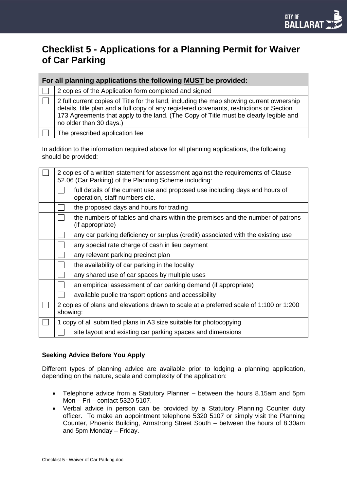# **Checklist 5 - Applications for a Planning Permit for Waiver of Car Parking**

| For all planning applications the following MUST be provided: |                                                                                                                                                                                                                                                                                                          |  |  |
|---------------------------------------------------------------|----------------------------------------------------------------------------------------------------------------------------------------------------------------------------------------------------------------------------------------------------------------------------------------------------------|--|--|
|                                                               | 2 copies of the Application form completed and signed                                                                                                                                                                                                                                                    |  |  |
|                                                               | 2 full current copies of Title for the land, including the map showing current ownership<br>details, title plan and a full copy of any registered covenants, restrictions or Section<br>173 Agreements that apply to the land. (The Copy of Title must be clearly legible and<br>no older than 30 days.) |  |  |
|                                                               | The prescribed application fee                                                                                                                                                                                                                                                                           |  |  |

In addition to the information required above for all planning applications, the following should be provided:

| 2 copies of a written statement for assessment against the requirements of Clause<br>52.06 (Car Parking) of the Planning Scheme including: |                                                                                                               |  |
|--------------------------------------------------------------------------------------------------------------------------------------------|---------------------------------------------------------------------------------------------------------------|--|
|                                                                                                                                            | full details of the current use and proposed use including days and hours of<br>operation, staff numbers etc. |  |
|                                                                                                                                            | the proposed days and hours for trading                                                                       |  |
|                                                                                                                                            | the numbers of tables and chairs within the premises and the number of patrons<br>(if appropriate)            |  |
|                                                                                                                                            | any car parking deficiency or surplus (credit) associated with the existing use                               |  |
|                                                                                                                                            | any special rate charge of cash in lieu payment                                                               |  |
|                                                                                                                                            | any relevant parking precinct plan                                                                            |  |
|                                                                                                                                            | the availability of car parking in the locality                                                               |  |
|                                                                                                                                            | any shared use of car spaces by multiple uses                                                                 |  |
|                                                                                                                                            | an empirical assessment of car parking demand (if appropriate)                                                |  |
|                                                                                                                                            | available public transport options and accessibility                                                          |  |
| 2 copies of plans and elevations drawn to scale at a preferred scale of 1:100 or 1:200<br>showing:                                         |                                                                                                               |  |
| 1 copy of all submitted plans in A3 size suitable for photocopying                                                                         |                                                                                                               |  |
|                                                                                                                                            | site layout and existing car parking spaces and dimensions                                                    |  |

## **Seeking Advice Before You Apply**

Different types of planning advice are available prior to lodging a planning application, depending on the nature, scale and complexity of the application:

- Telephone advice from a Statutory Planner between the hours 8.15am and 5pm Mon – Fri – contact 5320 5107.
- Verbal advice in person can be provided by a Statutory Planning Counter duty officer. To make an appointment telephone 5320 5107 or simply visit the Planning Counter, Phoenix Building, Armstrong Street South – between the hours of 8.30am and 5pm Monday – Friday.